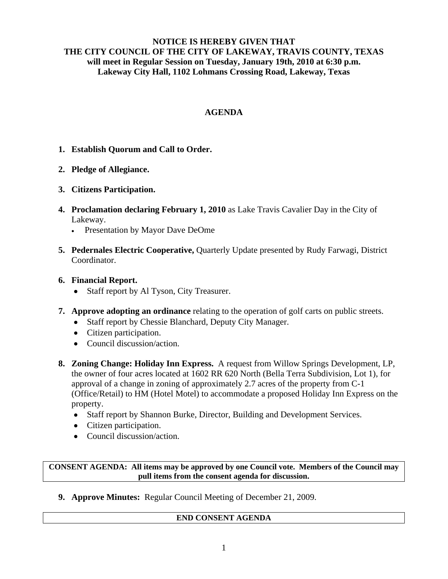### **NOTICE IS HEREBY GIVEN THAT THE CITY COUNCIL OF THE CITY OF LAKEWAY, TRAVIS COUNTY, TEXAS will meet in Regular Session on Tuesday, January 19th, 2010 at 6:30 p.m. Lakeway City Hall, 1102 Lohmans Crossing Road, Lakeway, Texas**

## **AGENDA**

- **1. Establish Quorum and Call to Order.**
- **2. Pledge of Allegiance.**
- **3. Citizens Participation.**
- **4. Proclamation declaring February 1, 2010** as Lake Travis Cavalier Day in the City of Lakeway.
	- Presentation by Mayor Dave DeOme
- **5. Pedernales Electric Cooperative,** Quarterly Update presented by Rudy Farwagi, District Coordinator.
- **6. Financial Report.** 
	- Staff report by Al Tyson, City Treasurer.
- **7. Approve adopting an ordinance** relating to the operation of golf carts on public streets.
	- Staff report by Chessie Blanchard, Deputy City Manager.
	- Citizen participation.
	- Council discussion/action.
- **8. Zoning Change: Holiday Inn Express.** A request from Willow Springs Development, LP, the owner of four acres located at 1602 RR 620 North (Bella Terra Subdivision, Lot 1), for approval of a change in zoning of approximately 2.7 acres of the property from C-1 (Office/Retail) to HM (Hotel Motel) to accommodate a proposed Holiday Inn Express on the property.
	- Staff report by Shannon Burke, Director, Building and Development Services.
	- Citizen participation.
	- Council discussion/action.

#### **CONSENT AGENDA: All items may be approved by one Council vote. Members of the Council may pull items from the consent agenda for discussion.**

**9. Approve Minutes:** Regular Council Meeting of December 21, 2009.

## **END CONSENT AGENDA**